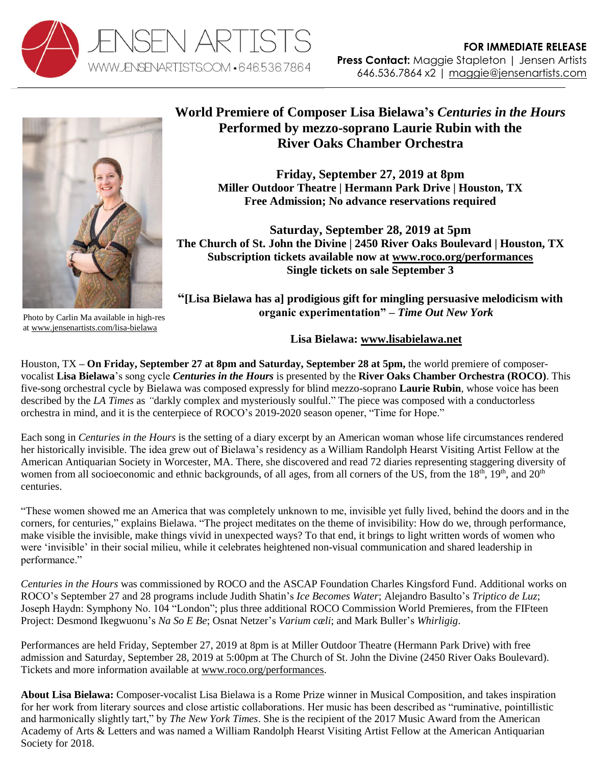



Photo by Carlin Ma available in high-res a[t www.jensenartists.com/lisa-bielawa](http://www.jensenartists.com/lisa-bielawa)

## **World Premiere of Composer Lisa Bielawa's** *Centuries in the Hours* **Performed by mezzo-soprano Laurie Rubin with the River Oaks Chamber Orchestra**

**Friday, September 27, 2019 at 8pm Miller Outdoor Theatre | Hermann Park Drive | Houston, TX Free Admission; No advance reservations required** 

**Saturday, September 28, 2019 at 5pm The Church of St. John the Divine | 2450 River Oaks Boulevard | Houston, TX Subscription tickets available now at [www.roco.org/performances](http://www.roco.org/performances) Single tickets on sale September 3**

**"[Lisa Bielawa has a] prodigious gift for mingling persuasive melodicism with organic experimentation" –** *Time Out New York*

## **Lisa Bielawa: [www.lisabielawa.net](http://www.lisabielawa.net/)**

Houston, TX **– On Friday, September 27 at 8pm and Saturday, September 28 at 5pm,** the world premiere of composervocalist **Lisa Bielawa**'s song cycle *Centuries in the Hours* is presented by the **River Oaks Chamber Orchestra (ROCO)**. This five-song orchestral cycle by Bielawa was composed expressly for blind mezzo-soprano **Laurie Rubin**, whose voice has been described by the *LA Times* as *"*darkly complex and mysteriously soulful." The piece was composed with a conductorless orchestra in mind, and it is the centerpiece of ROCO's 2019-2020 season opener, "Time for Hope."

Each song in *Centuries in the Hours* is the setting of a diary excerpt by an American woman whose life circumstances rendered her historically invisible. The idea grew out of Bielawa's residency as a William Randolph Hearst Visiting Artist Fellow at the American Antiquarian Society in Worcester, MA. There, she discovered and read 72 diaries representing staggering diversity of women from all socioeconomic and ethnic backgrounds, of all ages, from all corners of the US, from the 18<sup>th</sup>, 19<sup>th</sup>, and 20<sup>th</sup> centuries.

"These women showed me an America that was completely unknown to me, invisible yet fully lived, behind the doors and in the corners, for centuries," explains Bielawa. "The project meditates on the theme of invisibility: How do we, through performance, make visible the invisible, make things vivid in unexpected ways? To that end, it brings to light written words of women who were 'invisible' in their social milieu, while it celebrates heightened non-visual communication and shared leadership in performance."

*Centuries in the Hours* was commissioned by ROCO and the ASCAP Foundation Charles Kingsford Fund. Additional works on ROCO's September 27 and 28 programs include Judith Shatin's *Ice Becomes Water*; Alejandro Basulto's *Triptico de Luz*; Joseph Haydn: Symphony No. 104 "London"; plus three additional ROCO Commission World Premieres, from the FIFteen Project: Desmond Ikegwuonu's *Na So E Be*; Osnat Netzer's *Varium cæli*; and Mark Buller's *Whirligig*.

Performances are held Friday, September 27, 2019 at 8pm is at Miller Outdoor Theatre (Hermann Park Drive) with free admission and Saturday, September 28, 2019 at 5:00pm at The Church of St. John the Divine (2450 River Oaks Boulevard). Tickets and more information available at [www.roco.org/performances.](http://www.roco.org/performances)

**About Lisa Bielawa:** Composer-vocalist Lisa Bielawa is a Rome Prize winner in Musical Composition, and takes inspiration for her work from literary sources and close artistic collaborations. Her music has been described as "ruminative, pointillistic and harmonically slightly tart," by *The New York Times*. She is the recipient of the 2017 Music Award from the American Academy of Arts & Letters and was named a William Randolph Hearst Visiting Artist Fellow at the American Antiquarian Society for 2018.